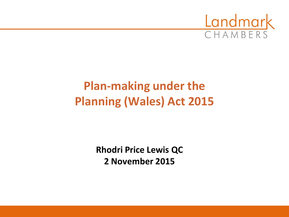

# **Plan-making under the Planning (Wales) Act 2015**

**Rhodri Price Lewis QC 2 November 2015**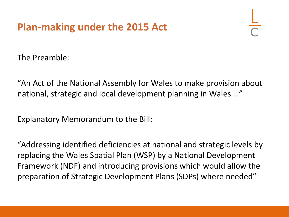# **Plan-making under the 2015 Act**

The Preamble:

"An Act of the National Assembly for Wales to make provision about national, strategic and local development planning in Wales …"

Explanatory Memorandum to the Bill:

"Addressing identified deficiencies at national and strategic levels by replacing the Wales Spatial Plan (WSP) by a National Development Framework (NDF) and introducing provisions which would allow the preparation of Strategic Development Plans (SDPs) where needed"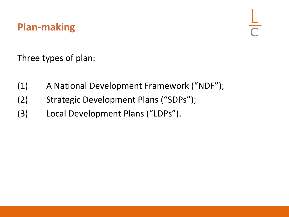# **Plan-making**

Three types of plan:

- (1) A National Development Framework ("NDF");
- (2) Strategic Development Plans ("SDPs");
- (3) Local Development Plans ("LDPs").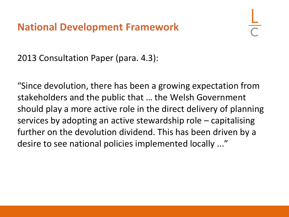2013 Consultation Paper (para. 4.3):

"Since devolution, there has been a growing expectation from stakeholders and the public that … the Welsh Government should play a more active role in the direct delivery of planning services by adopting an active stewardship role – capitalising further on the devolution dividend. This has been driven by a desire to see national policies implemented locally ..."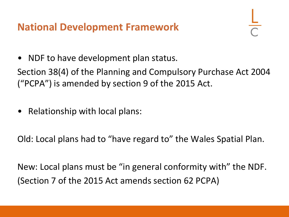NDF to have development plan status.

Section 38(4) of the Planning and Compulsory Purchase Act 2004 ("PCPA") is amended by section 9 of the 2015 Act.

• Relationship with local plans:

Old: Local plans had to "have regard to" the Wales Spatial Plan.

New: Local plans must be "in general conformity with" the NDF. (Section 7 of the 2015 Act amends section 62 PCPA)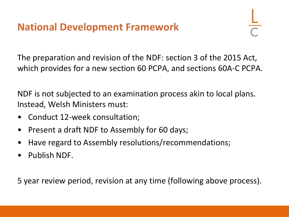The preparation and revision of the NDF: section 3 of the 2015 Act, which provides for a new section 60 PCPA, and sections 60A-C PCPA.

NDF is not subjected to an examination process akin to local plans. Instead, Welsh Ministers must:

- Conduct 12-week consultation;
- Present a draft NDF to Assembly for 60 days;
- Have regard to Assembly resolutions/recommendations;
- Publish NDF.

5 year review period, revision at any time (following above process).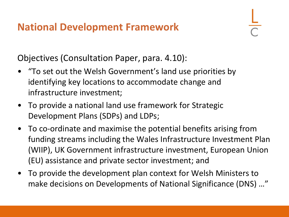Objectives (Consultation Paper, para. 4.10):

- "To set out the Welsh Government's land use priorities by identifying key locations to accommodate change and infrastructure investment;
- To provide a national land use framework for Strategic Development Plans (SDPs) and LDPs;
- To co-ordinate and maximise the potential benefits arising from funding streams including the Wales Infrastructure Investment Plan (WIIP), UK Government infrastructure investment, European Union (EU) assistance and private sector investment; and
- To provide the development plan context for Welsh Ministers to make decisions on Developments of National Significance (DNS) …"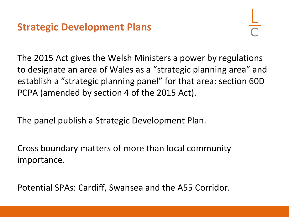The 2015 Act gives the Welsh Ministers a power by regulations to designate an area of Wales as a "strategic planning area" and establish a "strategic planning panel" for that area: section 60D PCPA (amended by section 4 of the 2015 Act).

The panel publish a Strategic Development Plan.

Cross boundary matters of more than local community importance.

Potential SPAs: Cardiff, Swansea and the A55 Corridor.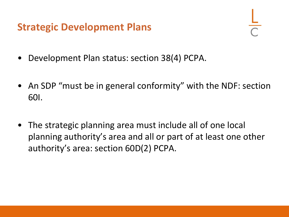#### **Strategic Development Plans**

- Development Plan status: section 38(4) PCPA.
- An SDP "must be in general conformity" with the NDF: section 60I.
- The strategic planning area must include all of one local planning authority's area and all or part of at least one other authority's area: section 60D(2) PCPA.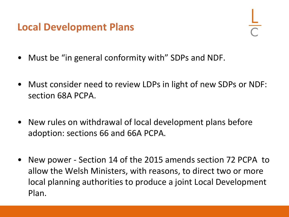## **Local Development Plans**

- Must be "in general conformity with" SDPs and NDF.
- Must consider need to review LDPs in light of new SDPs or NDF: section 68A PCPA.
- New rules on withdrawal of local development plans before adoption: sections 66 and 66A PCPA.
- New power Section 14 of the 2015 amends section 72 PCPA to allow the Welsh Ministers, with reasons, to direct two or more local planning authorities to produce a joint Local Development Plan.